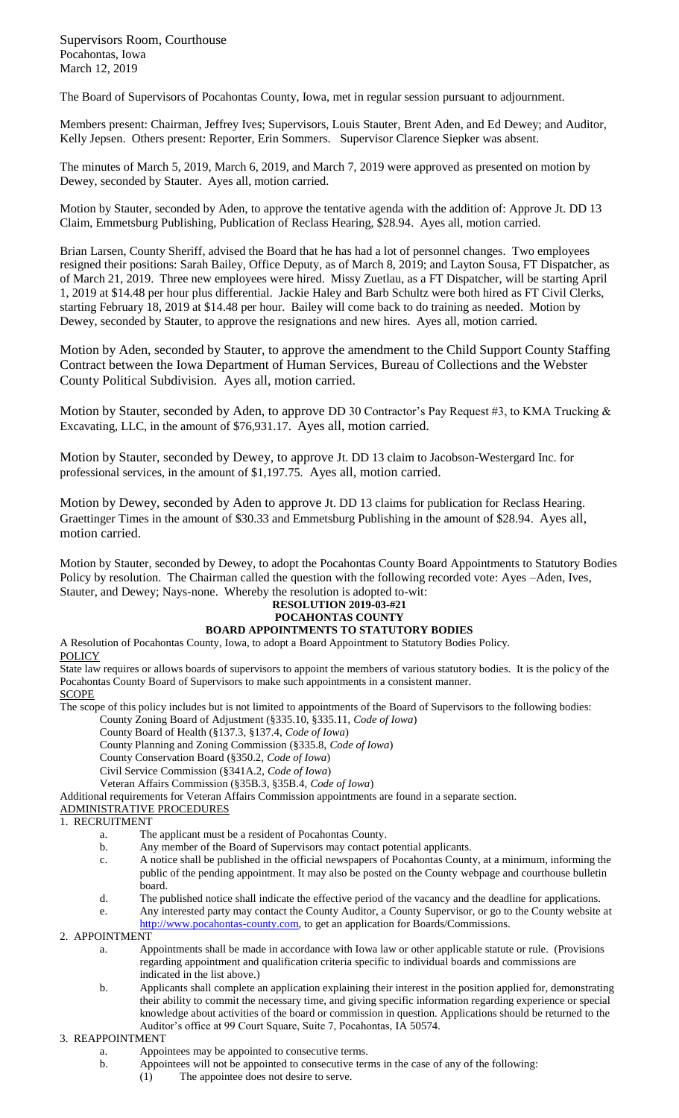Supervisors Room, Courthouse Pocahontas, Iowa March 12, 2019

The Board of Supervisors of Pocahontas County, Iowa, met in regular session pursuant to adjournment.

Members present: Chairman, Jeffrey Ives; Supervisors, Louis Stauter, Brent Aden, and Ed Dewey; and Auditor, Kelly Jepsen. Others present: Reporter, Erin Sommers. Supervisor Clarence Siepker was absent.

The minutes of March 5, 2019, March 6, 2019, and March 7, 2019 were approved as presented on motion by Dewey, seconded by Stauter. Ayes all, motion carried.

Motion by Stauter, seconded by Aden, to approve the tentative agenda with the addition of: Approve Jt. DD 13 Claim, Emmetsburg Publishing, Publication of Reclass Hearing, \$28.94. Ayes all, motion carried.

Brian Larsen, County Sheriff, advised the Board that he has had a lot of personnel changes. Two employees resigned their positions: Sarah Bailey, Office Deputy, as of March 8, 2019; and Layton Sousa, FT Dispatcher, as of March 21, 2019. Three new employees were hired. Missy Zuetlau, as a FT Dispatcher, will be starting April 1, 2019 at \$14.48 per hour plus differential. Jackie Haley and Barb Schultz were both hired as FT Civil Clerks, starting February 18, 2019 at \$14.48 per hour. Bailey will come back to do training as needed. Motion by Dewey, seconded by Stauter, to approve the resignations and new hires. Ayes all, motion carried.

Motion by Aden, seconded by Stauter, to approve the amendment to the Child Support County Staffing Contract between the Iowa Department of Human Services, Bureau of Collections and the Webster County Political Subdivision. Ayes all, motion carried.

Motion by Stauter, seconded by Aden, to approve DD 30 Contractor's Pay Request #3, to KMA Trucking & Excavating, LLC, in the amount of \$76,931.17. Ayes all, motion carried.

Motion by Stauter, seconded by Dewey, to approve Jt. DD 13 claim to Jacobson-Westergard Inc. for professional services, in the amount of \$1,197.75. Ayes all, motion carried.

Motion by Dewey, seconded by Aden to approve Jt. DD 13 claims for publication for Reclass Hearing. Graettinger Times in the amount of \$30.33 and Emmetsburg Publishing in the amount of \$28.94. Ayes all, motion carried.

Motion by Stauter, seconded by Dewey, to adopt the Pocahontas County Board Appointments to Statutory Bodies Policy by resolution. The Chairman called the question with the following recorded vote: Ayes –Aden, Ives, Stauter, and Dewey; Nays-none. Whereby the resolution is adopted to-wit:

## **RESOLUTION 2019-03-#21**

# **POCAHONTAS COUNTY**

**BOARD APPOINTMENTS TO STATUTORY BODIES**  A Resolution of Pocahontas County, Iowa, to adopt a Board Appointment to Statutory Bodies Policy.

## **POLICY**

State law requires or allows boards of supervisors to appoint the members of various statutory bodies. It is the policy of the Pocahontas County Board of Supervisors to make such appointments in a consistent manner.

**SCOPE** 

The scope of this policy includes but is not limited to appointments of the Board of Supervisors to the following bodies:

County Zoning Board of Adjustment (§335.10, §335.11, *Code of Iowa*)

County Board of Health (§137.3, §137.4, *Code of Iowa*)

County Planning and Zoning Commission (§335.8, *Code of Iowa*)

County Conservation Board (§350.2, *Code of Iowa*)

Civil Service Commission (§341A.2, *Code of Iowa*)

Veteran Affairs Commission (§35B.3, §35B.4, *Code of Iowa*)

Additional requirements for Veteran Affairs Commission appointments are found in a separate section.

ADMINISTRATIVE PROCEDURES

#### 1. RECRUITMENT

- a. The applicant must be a resident of Pocahontas County.
- b. Any member of the Board of Supervisors may contact potential applicants.
- c. A notice shall be published in the official newspapers of Pocahontas County, at a minimum, informing the public of the pending appointment. It may also be posted on the County webpage and courthouse bulletin board.
- d. The published notice shall indicate the effective period of the vacancy and the deadline for applications.
- e. Any interested party may contact the County Auditor, a County Supervisor, or go to the County website at [http://www.pocahontas-county.com,](http://www.pocahontas-county.com/) to get an application for Boards/Commissions.

#### 2.APPOINTMENT

- a. Appointments shall be made in accordance with Iowa law or other applicable statute or rule. (Provisions regarding appointment and qualification criteria specific to individual boards and commissions are indicated in the list above.)
- b. Applicants shall complete an application explaining their interest in the position applied for, demonstrating their ability to commit the necessary time, and giving specific information regarding experience or special knowledge about activities of the board or commission in question. Applications should be returned to the Auditor's office at 99 Court Square, Suite 7, Pocahontas, IA 50574.

### 3. REAPPOINTMENT

- a. Appointees may be appointed to consecutive terms.
- b. Appointees will not be appointed to consecutive terms in the case of any of the following:
	- (1) The appointee does not desire to serve.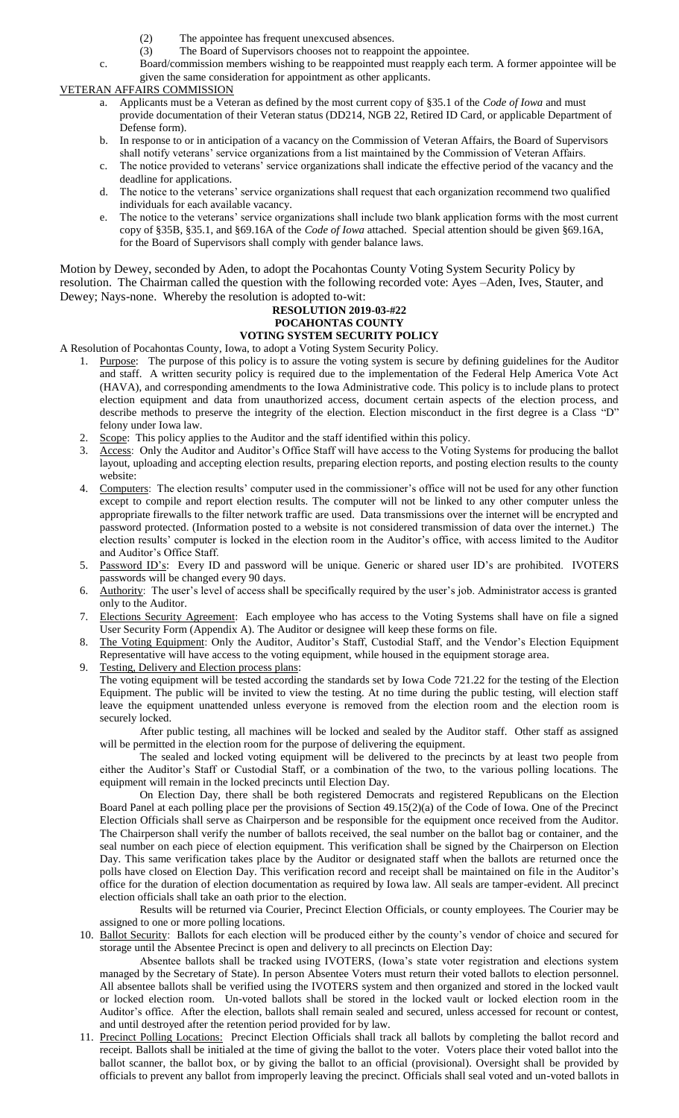- 
- (2) The appointee has frequent unexcused absences.<br>
(3) The Board of Supervisors chooses not to reappoi The Board of Supervisors chooses not to reappoint the appointee.

c. Board/commission members wishing to be reappointed must reapply each term. A former appointee will be given the same consideration for appointment as other applicants.

VETERAN AFFAIRS COMMISSION

- a. Applicants must be a Veteran as defined by the most current copy of §35.1 of the *Code of Iowa* and must provide documentation of their Veteran status (DD214, NGB 22, Retired ID Card, or applicable Department of Defense form).
- b. In response to or in anticipation of a vacancy on the Commission of Veteran Affairs, the Board of Supervisors shall notify veterans' service organizations from a list maintained by the Commission of Veteran Affairs.
- c. The notice provided to veterans' service organizations shall indicate the effective period of the vacancy and the deadline for applications.
- d. The notice to the veterans' service organizations shall request that each organization recommend two qualified individuals for each available vacancy.
- e. The notice to the veterans' service organizations shall include two blank application forms with the most current copy of §35B, §35.1, and §69.16A of the *Code of Iowa* attached. Special attention should be given §69.16A, for the Board of Supervisors shall comply with gender balance laws.

Motion by Dewey, seconded by Aden, to adopt the Pocahontas County Voting System Security Policy by resolution. The Chairman called the question with the following recorded vote: Ayes –Aden, Ives, Stauter, and Dewey; Nays-none. Whereby the resolution is adopted to-wit:

### **RESOLUTION 2019-03-#22 POCAHONTAS COUNTY VOTING SYSTEM SECURITY POLICY**

A Resolution of Pocahontas County, Iowa, to adopt a Voting System Security Policy.

- 1. Purpose: The purpose of this policy is to assure the voting system is secure by defining guidelines for the Auditor and staff. A written security policy is required due to the implementation of the Federal Help America Vote Act (HAVA), and corresponding amendments to the Iowa Administrative code. This policy is to include plans to protect election equipment and data from unauthorized access, document certain aspects of the election process, and describe methods to preserve the integrity of the election. Election misconduct in the first degree is a Class "D" felony under Iowa law.
- 2. Scope: This policy applies to the Auditor and the staff identified within this policy.
- 3. Access: Only the Auditor and Auditor's Office Staff will have access to the Voting Systems for producing the ballot layout, uploading and accepting election results, preparing election reports, and posting election results to the county website:
- 4. Computers: The election results' computer used in the commissioner's office will not be used for any other function except to compile and report election results. The computer will not be linked to any other computer unless the appropriate firewalls to the filter network traffic are used. Data transmissions over the internet will be encrypted and password protected. (Information posted to a website is not considered transmission of data over the internet.) The election results' computer is locked in the election room in the Auditor's office, with access limited to the Auditor and Auditor's Office Staff.
- 5. Password ID's: Every ID and password will be unique. Generic or shared user ID's are prohibited. IVOTERS passwords will be changed every 90 days.
- 6. Authority: The user's level of access shall be specifically required by the user's job. Administrator access is granted only to the Auditor.
- 7. Elections Security Agreement: Each employee who has access to the Voting Systems shall have on file a signed User Security Form (Appendix A). The Auditor or designee will keep these forms on file.
- 8. The Voting Equipment: Only the Auditor, Auditor's Staff, Custodial Staff, and the Vendor's Election Equipment Representative will have access to the voting equipment, while housed in the equipment storage area.
- 9. Testing, Delivery and Election process plans: The voting equipment will be tested according the standards set by Iowa Code 721.22 for the testing of the Election Equipment. The public will be invited to view the testing. At no time during the public testing, will election staff leave the equipment unattended unless everyone is removed from the election room and the election room is securely locked.

After public testing, all machines will be locked and sealed by the Auditor staff. Other staff as assigned will be permitted in the election room for the purpose of delivering the equipment.

The sealed and locked voting equipment will be delivered to the precincts by at least two people from either the Auditor's Staff or Custodial Staff, or a combination of the two, to the various polling locations. The equipment will remain in the locked precincts until Election Day.

On Election Day, there shall be both registered Democrats and registered Republicans on the Election Board Panel at each polling place per the provisions of Section 49.15(2)(a) of the Code of Iowa. One of the Precinct Election Officials shall serve as Chairperson and be responsible for the equipment once received from the Auditor. The Chairperson shall verify the number of ballots received, the seal number on the ballot bag or container, and the seal number on each piece of election equipment. This verification shall be signed by the Chairperson on Election Day. This same verification takes place by the Auditor or designated staff when the ballots are returned once the polls have closed on Election Day. This verification record and receipt shall be maintained on file in the Auditor's office for the duration of election documentation as required by Iowa law. All seals are tamper-evident. All precinct election officials shall take an oath prior to the election.

Results will be returned via Courier, Precinct Election Officials, or county employees. The Courier may be assigned to one or more polling locations.

10. Ballot Security: Ballots for each election will be produced either by the county's vendor of choice and secured for storage until the Absentee Precinct is open and delivery to all precincts on Election Day:

Absentee ballots shall be tracked using IVOTERS, (Iowa's state voter registration and elections system managed by the Secretary of State). In person Absentee Voters must return their voted ballots to election personnel. All absentee ballots shall be verified using the IVOTERS system and then organized and stored in the locked vault or locked election room. Un-voted ballots shall be stored in the locked vault or locked election room in the Auditor's office. After the election, ballots shall remain sealed and secured, unless accessed for recount or contest, and until destroyed after the retention period provided for by law.

11. Precinct Polling Locations: Precinct Election Officials shall track all ballots by completing the ballot record and receipt. Ballots shall be initialed at the time of giving the ballot to the voter. Voters place their voted ballot into the ballot scanner, the ballot box, or by giving the ballot to an official (provisional). Oversight shall be provided by officials to prevent any ballot from improperly leaving the precinct. Officials shall seal voted and un-voted ballots in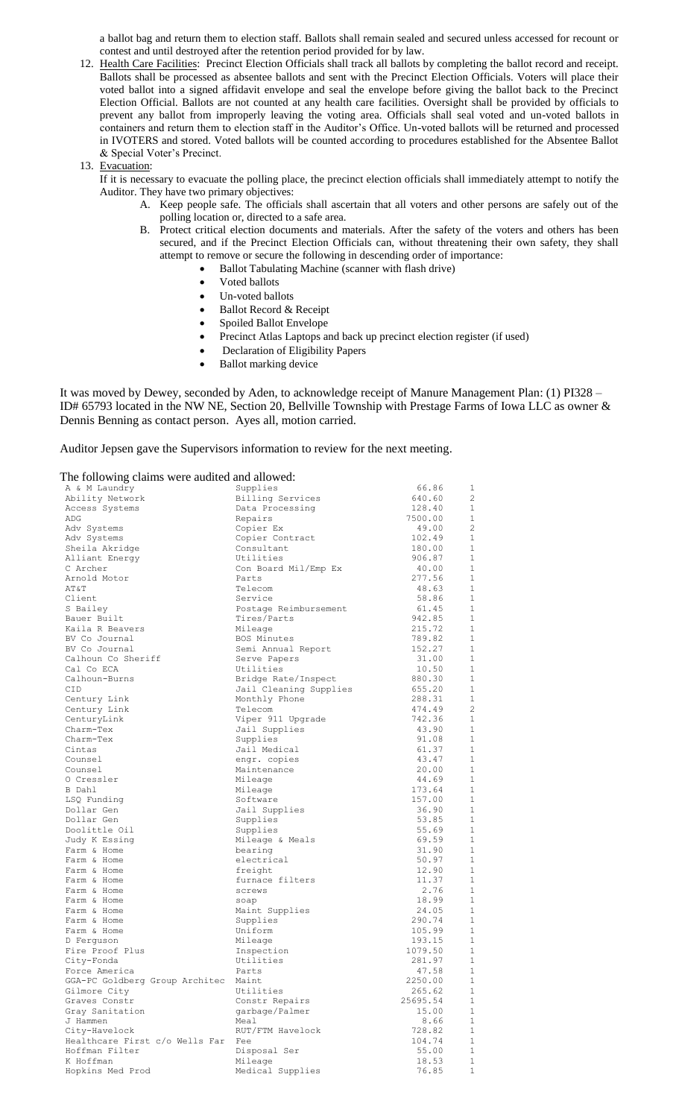a ballot bag and return them to election staff. Ballots shall remain sealed and secured unless accessed for recount or contest and until destroyed after the retention period provided for by law.

12. Health Care Facilities: Precinct Election Officials shall track all ballots by completing the ballot record and receipt. Ballots shall be processed as absentee ballots and sent with the Precinct Election Officials. Voters will place their voted ballot into a signed affidavit envelope and seal the envelope before giving the ballot back to the Precinct Election Official. Ballots are not counted at any health care facilities. Oversight shall be provided by officials to prevent any ballot from improperly leaving the voting area. Officials shall seal voted and un-voted ballots in containers and return them to election staff in the Auditor's Office. Un-voted ballots will be returned and processed in IVOTERS and stored. Voted ballots will be counted according to procedures established for the Absentee Ballot & Special Voter's Precinct.

#### 13. Evacuation:

If it is necessary to evacuate the polling place, the precinct election officials shall immediately attempt to notify the Auditor. They have two primary objectives:

- A. Keep people safe. The officials shall ascertain that all voters and other persons are safely out of the polling location or, directed to a safe area.
- B. Protect critical election documents and materials. After the safety of the voters and others has been secured, and if the Precinct Election Officials can, without threatening their own safety, they shall attempt to remove or secure the following in descending order of importance:
	- Ballot Tabulating Machine (scanner with flash drive)
		- Voted ballots
		- Un-voted ballots
		- Ballot Record & Receipt
		- Spoiled Ballot Envelope
		- Precinct Atlas Laptops and back up precinct election register (if used)
		- Declaration of Eligibility Papers
		- Ballot marking device

It was moved by Dewey, seconded by Aden, to acknowledge receipt of Manure Management Plan: (1) PI328 – ID# 65793 located in the NW NE, Section 20, Bellville Township with Prestage Farms of Iowa LLC as owner & Dennis Benning as contact person. Ayes all, motion carried.

Auditor Jepsen gave the Supervisors information to review for the next meeting.

The following claims were audited and allowed:

| A & M Laundry                        | Supplies               | 66.86    | 1              |
|--------------------------------------|------------------------|----------|----------------|
| Ability Network                      | Billing Services       | 640.60   | $\overline{c}$ |
| Access Systems                       | Data Processing        | 128.40   | $\mathbf{1}$   |
| ADG                                  | Repairs                | 7500.00  | $\mathbf{1}$   |
| Adv Systems                          | Copier Ex              | 49.00    | $\overline{c}$ |
| Adv Systems                          | Copier Contract        | 102.49   | 1              |
|                                      |                        |          | $\mathbf{1}$   |
| Sheila Akridge                       | Consultant             | 180.00   |                |
| Alliant Energy                       | Utilities              | 906.87   | 1              |
| C Archer                             | Con Board Mil/Emp Ex   | 40.00    | $\mathbf{1}$   |
| Arnold Motor                         | Parts                  | 277.56   | $\mathbf{1}$   |
| AT&T                                 | Telecom                | 48.63    | $\mathbf{1}$   |
| Client                               | Service                | 58.86    | 1              |
| S Bailey                             | Postage Reimbursement  | 61.45    | $\mathbf{1}$   |
| Bauer Built                          | Tires/Parts            | 942.85   | $\mathbf{1}$   |
| Kaila R Beavers                      | Mileage                | 215.72   | $\mathbf{1}$   |
| BV Co Journal                        | BOS Minutes            | 789.82   | 1              |
| BV Co Journal                        | Semi Annual Report     | 152.27   | <sup>1</sup>   |
| Calhoun Co Sheriff                   | Serve Papers           | 31.00    | $\mathbf{1}$   |
| Cal Co ECA                           | Utilities              | 10.50    | <sup>1</sup>   |
| Calhoun-Burns                        | Bridge Rate/Inspect    | 880.30   | 1              |
| CID.                                 | Jail Cleaning Supplies | 655.20   | $\mathbf{1}$   |
| Century Link                         | Monthly Phone          | 288.31   | $\mathbf{1}$   |
| Century Link                         | Telecom                | 474.49   | -2             |
| CenturyLink                          | Viper 911 Upgrade      | 742.36   | 1              |
| Charm-Tex                            | Jail Supplies          | 43.90    | <sup>1</sup>   |
| Charm-Tex                            | Supplies               | 91.08    | <sup>1</sup>   |
| Cintas                               | Jail Medical           | 61.37    | $\mathbf{1}$   |
| Counsel                              |                        |          | $\overline{1}$ |
|                                      | engr. copies           | 43.47    | 1              |
| Counsel                              | Maintenance            | 20.00    |                |
| O Cressler                           | Mileage                | 44.69    | -1             |
| B Dahl                               | Mileage                | 173.64   | $\overline{1}$ |
| LSQ Funding                          | Software               | 157.00   | $\mathbf{1}$   |
| Dollar Gen                           | Jail Supplies          | 36.90    | 1              |
| Dollar Gen                           | Supplies               | 53.85    | $\mathbf{1}$   |
| Doolittle Oil                        | Supplies               | 55.69    | 1              |
| Judy K Essing                        | Mileage & Meals        | 69.59    | 1              |
| Farm & Home                          | bearing                | 31.90    | 1              |
| Farm & Home                          | electrical             | 50.97    | 1              |
| Farm & Home                          | freight                | 12.90    | 1              |
| Farm & Home                          | furnace filters        | 11.37    | <sup>1</sup>   |
| Farm & Home                          | screws                 | 2.76     | 1              |
| Farm & Home                          | soap                   | 18.99    | -1             |
| Farm & Home                          | Maint Supplies         | 24.05    | $\mathbf{1}$   |
| Farm & Home                          | Supplies               | 290.74   | $\mathbf{1}$   |
| Farm & Home                          | Uniform                | 105.99   | 1              |
| D Ferguson                           | Mileage                | 193.15   | 1              |
| Fire Proof Plus                      | Inspection             | 1079.50  | 1              |
| City-Fonda                           | Utilities              | 281.97   | 1              |
| Force America                        | Parts                  | 47.58    | 1              |
| GGA-PC Goldberg Group Architec Maint |                        | 2250.00  | $\overline{1}$ |
| Gilmore City                         | Utilities              | 265.62   | 1              |
| Graves Constr                        | Constr Repairs         | 25695.54 | $\mathbf 1$    |
|                                      |                        | 15.00    | $1\,$          |
| Gray Sanitation                      | garbage/Palmer         |          | $1\,$          |
| J Hammen                             | Meal                   | 8.66     | $\mathbf 1$    |
| City-Havelock                        | RUT/FTM Havelock       | 728.82   |                |
| Healthcare First c/o Wells Far       | Fee                    | 104.74   | $\mathbf 1$    |
| Hoffman Filter                       | Disposal Ser           | 55.00    | 1              |
| K Hoffman                            | Mileage                | 18.53    | $\mathbf 1$    |
| Hopkins Med Prod                     | Medical Supplies       | 76.85    | 1              |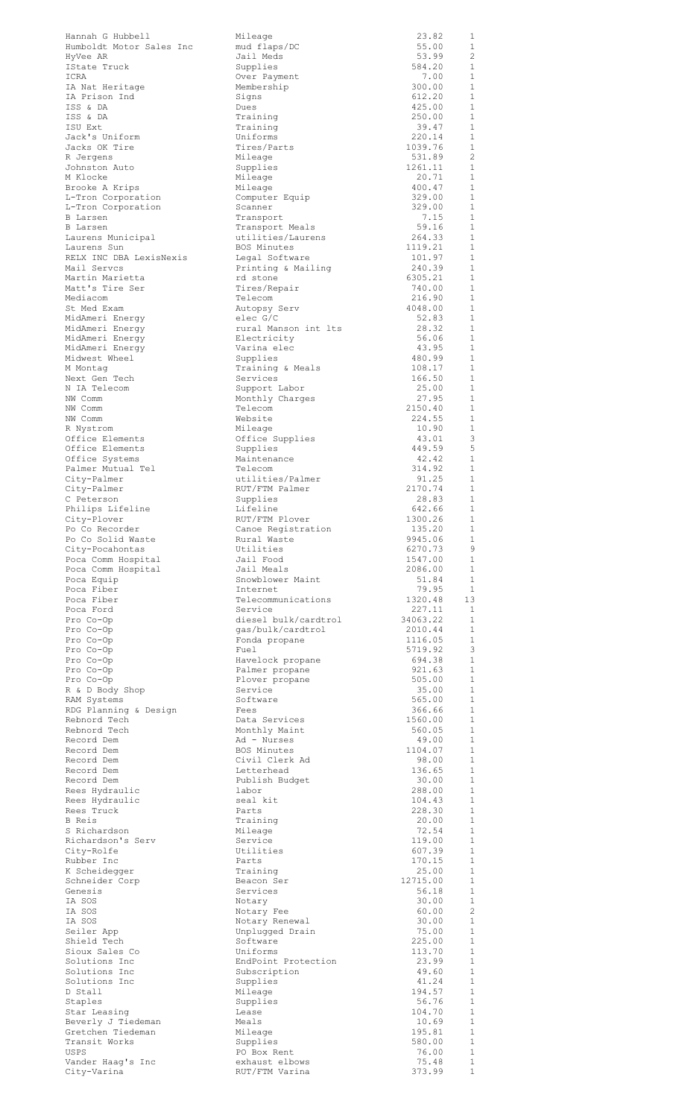| Hannah G Hubbell<br>Humboldt Motor Sales Inc | Mileage<br>mud flaps/DC          | 23.82<br>55.00     | 1<br>1                       |
|----------------------------------------------|----------------------------------|--------------------|------------------------------|
| HyVee AR                                     | Jail Meds                        | 53.99              | $\overline{c}$               |
| IState Truck<br>ICRA                         | Supplies<br>Over Payment         | 584.20<br>7.00     | 1<br>1                       |
| IA Nat Heritage                              | Membership                       | 300.00             | $\mathbf{1}$                 |
| IA Prison Ind<br>ISS & DA                    | Signs<br>Dues                    | 612.20<br>425.00   | $\mathbf{1}$<br>1            |
| ISS & DA                                     | Training                         | 250.00             | $\mathbf{1}$                 |
| ISU Ext                                      | Training                         | 39.47              | 1                            |
| Jack's Uniform<br>Jacks OK Tire              | Uniforms<br>Tires/Parts          | 220.14<br>1039.76  | $\mathbf{1}$<br>1            |
| R Jergens                                    | Mileage                          | 531.89             | $\overline{2}$               |
| Johnston Auto<br>M Klocke                    | Supplies<br>Mileage              | 1261.11<br>20.71   | 1<br>1                       |
| Brooke A Krips                               | Mileage                          | 400.47             | 1                            |
| L-Tron Corporation                           | Computer Equip                   | 329.00             | 1                            |
| L-Tron Corporation<br><b>B</b> Larsen        | Scanner<br>Transport             | 329.00<br>7.15     | 1<br>1                       |
| <b>B</b> Larsen                              | Transport Meals                  | 59.16              | $\mathbf{1}$                 |
| Laurens Municipal                            | utilities/Laurens<br>BOS Minutes | 264.33<br>1119.21  | 1<br>1                       |
| Laurens Sun<br>RELX INC DBA LexisNexis       | Legal Software                   | 101.97             | 1                            |
| Mail Servcs                                  | Printing & Mailing               | 240.39             | 1                            |
| Martin Marietta<br>Matt's Tire Ser           | rd stone<br>Tires/Repair         | 6305.21<br>740.00  | $\mathbf{1}$<br>1            |
| Mediacom                                     | Telecom                          | 216.90             | $\mathbf{1}$                 |
| St Med Exam                                  | Autopsy Serv                     | 4048.00            | 1                            |
| MidAmeri Energy<br>MidAmeri Energy           | elec G/C<br>rural Manson int lts | 52.83<br>28.32     | $\mathbf{1}$<br>$\mathbf{1}$ |
| MidAmeri Energy                              | Electricity                      | 56.06              | $\mathbf{1}$                 |
| MidAmeri Energy<br>Midwest Wheel             | Varina elec                      | 43.95<br>480.99    | 1<br>$\mathbf{1}$            |
| M Montag                                     | Supplies<br>Training & Meals     | 108.17             | $\mathbf{1}$                 |
| Next Gen Tech                                | Services                         | 166.50             | $\mathbf{1}$                 |
| N IA Telecom<br>NW Comm                      | Support Labor<br>Monthly Charges | 25.00<br>27.95     | 1<br>$\mathbf{1}$            |
| NW Comm                                      | Telecom                          | 2150.40            | 1                            |
| NW Comm                                      | Website                          | 224.55             | 1                            |
| R Nystrom<br>Office Elements                 | Mileage<br>Office Supplies       | 10.90<br>43.01     | 1<br>3                       |
| Office Elements                              | Supplies                         | 449.59             | 5                            |
| Office Systems                               | Maintenance<br>Telecom           | 42.42<br>314.92    | 1<br>1                       |
| Palmer Mutual Tel<br>City-Palmer             | utilities/Palmer                 | 91.25              | 1                            |
| City-Palmer                                  | RUT/FTM Palmer                   | 2170.74            | 1                            |
| C Peterson<br>Philips Lifeline               | Supplies<br>Lifeline             | 28.83<br>642.66    | -1<br>$\mathbf{1}$           |
| City-Plover                                  | RUT/FTM Plover                   | 1300.26            | 1                            |
| Po Co Recorder                               | Canoe Registration               | 135.20             | $\overline{1}$               |
| Po Co Solid Waste<br>City-Pocahontas         | Rural Waste<br>Utilities         | 9945.06<br>6270.73 | - 1<br>- 9                   |
| Poca Comm Hospital                           | Jail Food                        | 1547.00            | $\overline{1}$               |
| Poca Comm Hospital<br>Poca Equip             | Jail Meals<br>Snowblower Maint   | 2086.00<br>51.84   | $\mathbf{1}$<br>$\mathbf{1}$ |
| Poca Fiber                                   | Internet                         | 79.95              | $\overline{1}$               |
| Poca Fiber                                   | Telecommunications               | 1320.48            | 13                           |
| Poca Ford<br>Pro Co-Op                       | Service<br>diesel bulk/cardtrol  | 227.11<br>34063.22 | $\overline{1}$<br>- 1        |
| Pro Co-Op                                    | qas/bulk/cardtrol                | 2010.44            | $\mathbf{1}$                 |
| Pro Co-Op                                    | Fonda propane                    | 1116.05            | 1                            |
| Pro Co-Op<br>Pro Co-Op                       | Fuel<br>Havelock propane         | 5719.92<br>694.38  | $\mathbf{3}$<br>1            |
| Pro Co-Op                                    | Palmer propane                   | 921.63             | 1                            |
| Pro Co-Op<br>R & D Body Shop                 | Plover propane<br>Service        | 505.00<br>35.00    | 1<br>$\overline{1}$          |
| RAM Systems                                  | Software                         | 565.00             | 1                            |
| RDG Planning & Design                        | Fees                             | 366.66             | $\overline{1}$               |
| Rebnord Tech<br>Rebnord Tech                 | Data Services<br>Monthly Maint   | 1560.00<br>560.05  | -1<br>$\mathbf{1}$           |
| Record Dem                                   | Ad - Nurses                      | 49.00              | 1                            |
| Record Dem<br>Record Dem                     | BOS Minutes<br>Civil Clerk Ad    | 1104.07<br>98.00   | -1<br>1                      |
| Record Dem                                   | Letterhead                       | 136.65             | 1                            |
| Record Dem                                   | Publish Budget                   | 30.00              | 1                            |
| Rees Hydraulic<br>Rees Hydraulic             | labor<br>seal kit                | 288.00<br>104.43   | <sup>1</sup><br>1            |
| Rees Truck                                   | Parts                            | 228.30             | $\mathbf{1}$                 |
| B Reis                                       | Training                         | 20.00              | 1                            |
| S Richardson<br>Richardson's Serv            | Mileage<br>Service               | 72.54<br>119.00    | $\mathbf{1}$<br>1            |
| City-Rolfe                                   | Utilities                        | 607.39             | $\mathbf{1}$                 |
| Rubber Inc<br>K Scheidegger                  | Parts<br>Training                | 170.15<br>25.00    | 1<br>$\mathbf{1}$            |
| Schneider Corp                               | Beacon Ser                       | 12715.00           | 1                            |
| Genesis                                      | Services                         | 56.18              | 1                            |
| IA SOS<br>IA SOS                             | Notary<br>Notary Fee             | 30.00<br>60.00     | 1<br>$\overline{c}$          |
| IA SOS                                       | Notary Renewal                   | 30.00              | 1                            |
| Seiler App<br>Shield Tech                    | Unplugged Drain<br>Software      | 75.00<br>225.00    | <sup>1</sup><br>1            |
| Sioux Sales Co                               | Uniforms                         | 113.70             | $\mathbf{1}$                 |
| Solutions Inc                                | EndPoint Protection              | 23.99              | 1                            |
| Solutions Inc<br>Solutions Inc               | Subscription<br>Supplies         | 49.60<br>41.24     | <sup>1</sup><br>$\mathbf{1}$ |
| D Stall                                      | Mileage                          | 194.57             | $\mathbf{1}$                 |
| Staples                                      | Supplies                         | 56.76              | $\mathbf{1}$                 |
| Star Leasing<br>Beverly J Tiedeman           | Lease<br>Meals                   | 104.70<br>10.69    | $\overline{1}$<br>1          |
| Gretchen Tiedeman                            | Mileage                          | 195.81             | 1                            |
| Transit Works<br><b>USPS</b>                 | Supplies<br>PO Box Rent          | 580.00<br>76.00    | $1\,$<br>$\mathbf{1}$        |
| Vander Haag's Inc                            | exhaust elbows                   | 75.48              | $1\,$                        |
| City-Varina                                  | RUT/FTM Varina                   | 373.99             | $1\,$                        |